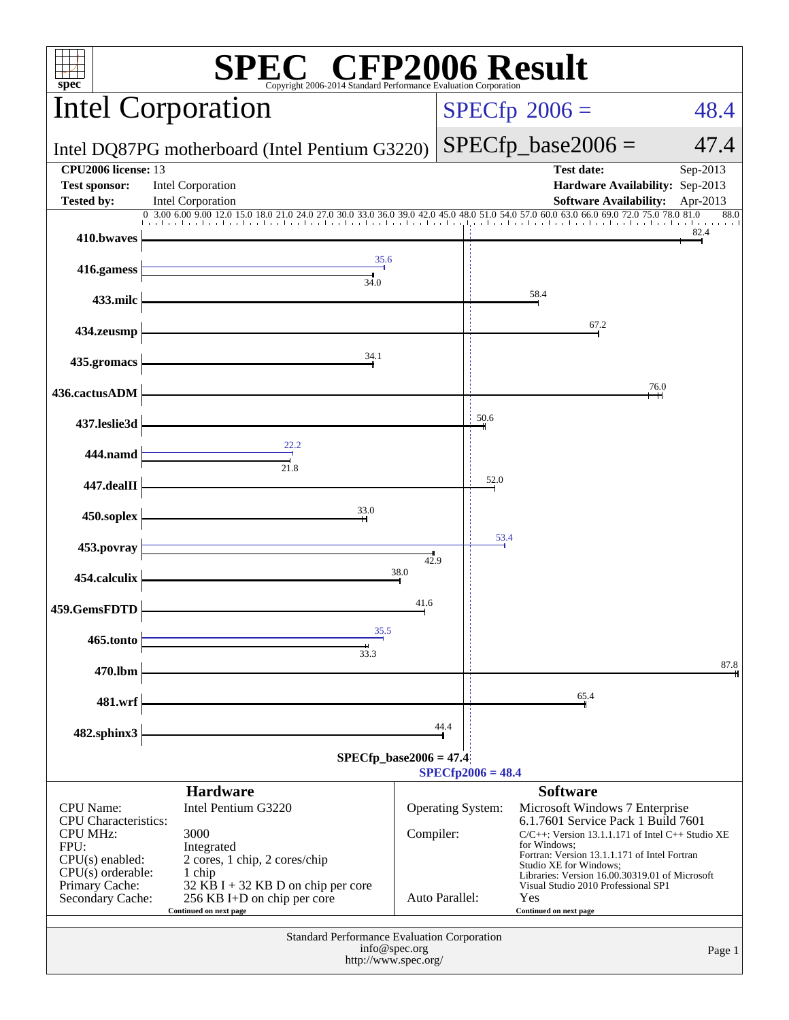| C® CFP2006 Result<br>$spec^*$<br>Copyright 2006-2014 Standard Performance Evaluation Corporation |                                                                                             |                |                                |                     |                                                                                                                        |                  |
|--------------------------------------------------------------------------------------------------|---------------------------------------------------------------------------------------------|----------------|--------------------------------|---------------------|------------------------------------------------------------------------------------------------------------------------|------------------|
| <b>Intel Corporation</b>                                                                         |                                                                                             |                | $SPECfp^{\circ}2006 =$<br>48.4 |                     |                                                                                                                        |                  |
| Intel DQ87PG motherboard (Intel Pentium G3220)                                                   |                                                                                             |                |                                |                     | $SPECfp\_base2006 =$                                                                                                   | 47.4             |
| <b>CPU2006</b> license: 13<br><b>Test sponsor:</b>                                               | <b>Intel Corporation</b>                                                                    |                |                                |                     | <b>Test date:</b><br>Hardware Availability: Sep-2013                                                                   | Sep-2013         |
| <b>Tested by:</b>                                                                                | Intel Corporation                                                                           |                |                                |                     | <b>Software Availability:</b>                                                                                          | Apr-2013<br>88.0 |
| 410.bwaves                                                                                       |                                                                                             |                |                                |                     |                                                                                                                        | 82.4             |
| 416.gamess                                                                                       | 35.6<br>34.0                                                                                |                |                                |                     |                                                                                                                        |                  |
| 433.milc                                                                                         |                                                                                             |                |                                |                     | 58.4                                                                                                                   |                  |
| 434.zeusmp                                                                                       |                                                                                             |                |                                |                     | 67.2                                                                                                                   |                  |
| 435.gromacs                                                                                      | 34.1                                                                                        |                |                                |                     |                                                                                                                        |                  |
| 436.cactusADM                                                                                    |                                                                                             |                |                                |                     |                                                                                                                        | 76.0             |
| 437.leslie3d                                                                                     |                                                                                             |                |                                | 50.6                |                                                                                                                        |                  |
| 444.namd                                                                                         |                                                                                             |                |                                |                     |                                                                                                                        |                  |
| 447.dealII                                                                                       |                                                                                             |                |                                | 52.0                |                                                                                                                        |                  |
| 450.soplex                                                                                       | 33.0                                                                                        |                |                                |                     |                                                                                                                        |                  |
| 453.povray                                                                                       |                                                                                             | 42.9           |                                | 53.4                |                                                                                                                        |                  |
| 454.calculix                                                                                     |                                                                                             | 38.0           |                                |                     |                                                                                                                        |                  |
| 459.GemsFDTD                                                                                     |                                                                                             | 41.6           |                                |                     |                                                                                                                        |                  |
| 465.tonto                                                                                        | 35.5<br>33.3                                                                                |                |                                |                     |                                                                                                                        |                  |
| 470.lbm                                                                                          |                                                                                             |                |                                |                     |                                                                                                                        | 87.8             |
| 481.wrf                                                                                          |                                                                                             |                |                                |                     | 65.4                                                                                                                   |                  |
| 482.sphinx3                                                                                      |                                                                                             |                | 44.4                           |                     |                                                                                                                        |                  |
|                                                                                                  | $SPECfp\_base2006 = 47.4$                                                                   |                |                                |                     |                                                                                                                        |                  |
|                                                                                                  |                                                                                             |                |                                | $SPECfp2006 = 48.4$ | <b>Software</b>                                                                                                        |                  |
| <b>CPU</b> Name:<br>CPU Characteristics:                                                         | <b>Hardware</b><br>Intel Pentium G3220                                                      |                | <b>Operating System:</b>       |                     | Microsoft Windows 7 Enterprise<br>6.1.7601 Service Pack 1 Build 7601                                                   |                  |
| <b>CPU MHz:</b><br>FPU:                                                                          | 3000<br>Integrated                                                                          | Compiler:      |                                |                     | $C/C++$ : Version 13.1.1.171 of Intel $C++$ Studio XE<br>for Windows:                                                  |                  |
| $CPU(s)$ enabled:<br>$CPU(s)$ orderable:                                                         | 2 cores, 1 chip, 2 cores/chip<br>1 chip                                                     |                |                                |                     | Fortran: Version 13.1.1.171 of Intel Fortran<br>Studio XE for Windows;                                                 |                  |
| Primary Cache:<br>Secondary Cache:                                                               | 32 KB I + 32 KB D on chip per core<br>256 KB I+D on chip per core<br>Continued on next page | Auto Parallel: |                                |                     | Libraries: Version 16.00.30319.01 of Microsoft<br>Visual Studio 2010 Professional SP1<br>Yes<br>Continued on next page |                  |
| Standard Performance Evaluation Corporation                                                      |                                                                                             |                |                                |                     |                                                                                                                        |                  |
| info@spec.org<br>Page 1<br>http://www.spec.org/                                                  |                                                                                             |                |                                |                     |                                                                                                                        |                  |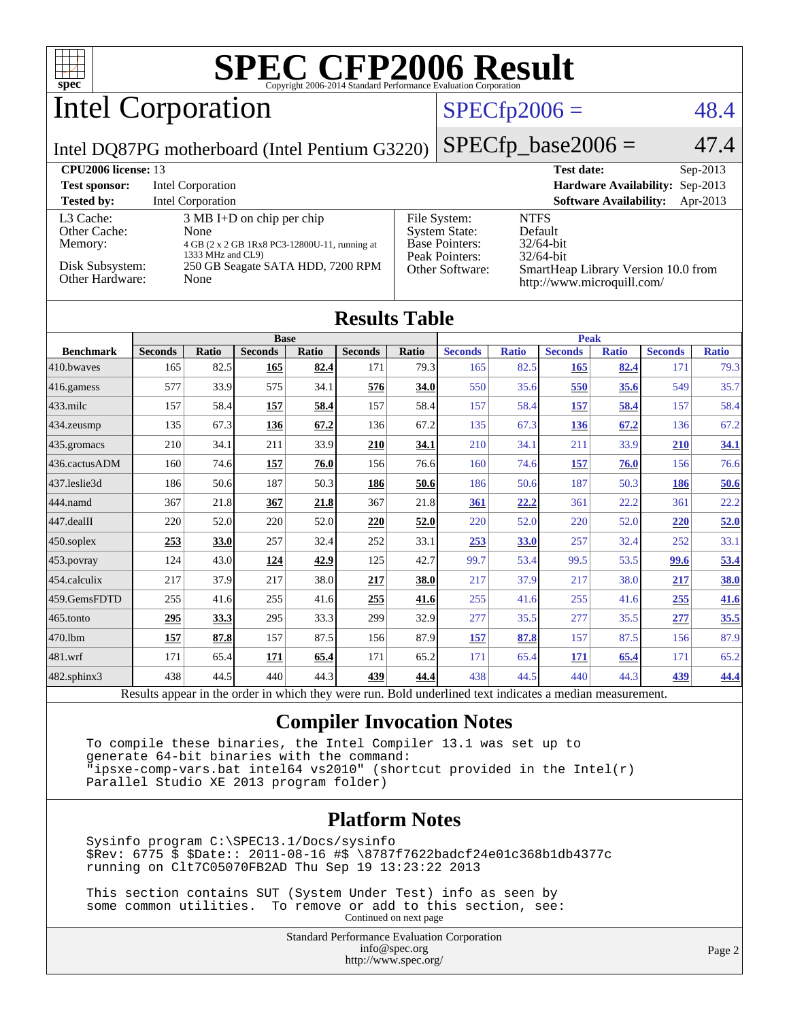

Parallel Studio XE 2013 program folder)

#### **[Platform Notes](http://www.spec.org/auto/cpu2006/Docs/result-fields.html#PlatformNotes)**

 Sysinfo program C:\SPEC13.1/Docs/sysinfo \$Rev: 6775 \$ \$Date:: 2011-08-16 #\$ \8787f7622badcf24e01c368b1db4377c running on Clt7C05070FB2AD Thu Sep 19 13:23:22 2013

 This section contains SUT (System Under Test) info as seen by some common utilities. To remove or add to this section, see: Continued on next page

> Standard Performance Evaluation Corporation [info@spec.org](mailto:info@spec.org) <http://www.spec.org/>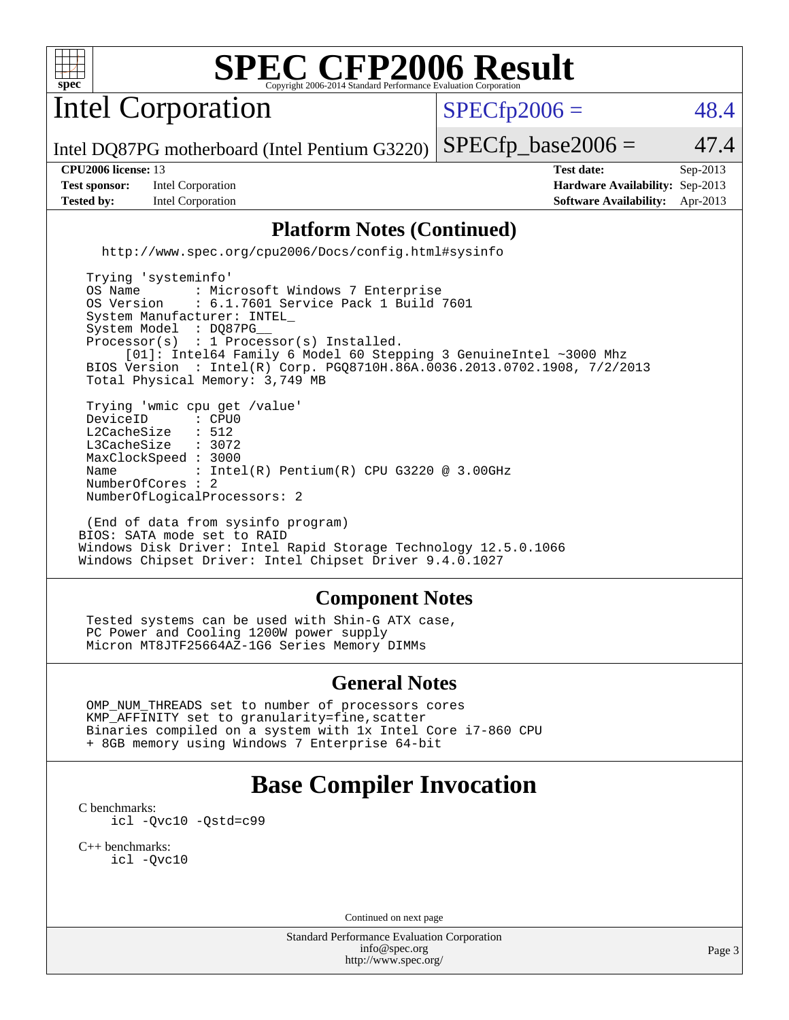

# **[SPEC CFP2006 Result](http://www.spec.org/auto/cpu2006/Docs/result-fields.html#SPECCFP2006Result)**

Intel Corporation

 $SPECfp2006 = 48.4$  $SPECfp2006 = 48.4$ 

Intel DQ87PG motherboard (Intel Pentium G3220)  $SPECTp\_base2006 = 47.4$ 

**[Test sponsor:](http://www.spec.org/auto/cpu2006/Docs/result-fields.html#Testsponsor)** Intel Corporation **[Hardware Availability:](http://www.spec.org/auto/cpu2006/Docs/result-fields.html#HardwareAvailability)** Sep-2013 **[Tested by:](http://www.spec.org/auto/cpu2006/Docs/result-fields.html#Testedby)** Intel Corporation **[Software Availability:](http://www.spec.org/auto/cpu2006/Docs/result-fields.html#SoftwareAvailability)** Apr-2013

**[CPU2006 license:](http://www.spec.org/auto/cpu2006/Docs/result-fields.html#CPU2006license)** 13 **[Test date:](http://www.spec.org/auto/cpu2006/Docs/result-fields.html#Testdate)** Sep-2013

#### **[Platform Notes \(Continued\)](http://www.spec.org/auto/cpu2006/Docs/result-fields.html#PlatformNotes)**

<http://www.spec.org/cpu2006/Docs/config.html#sysinfo>

 Trying 'systeminfo' OS Name : Microsoft Windows 7 Enterprise<br>OS Version : 6.1.7601 Service Pack 1 Build : 6.1.7601 Service Pack 1 Build 7601 System Manufacturer: INTEL\_ System Model : DQ87PG Processor(s) : 1 Processor(s) Installed. [01]: Intel64 Family 6 Model 60 Stepping 3 GenuineIntel ~3000 Mhz BIOS Version : Intel(R) Corp. PGQ8710H.86A.0036.2013.0702.1908, 7/2/2013 Total Physical Memory: 3,749 MB Trying 'wmic cpu get /value' DeviceID : CPU<br>L2CacheSize : 512 L2CacheSize : 512<br>L3CacheSize : 3072 L3CacheSize MaxClockSpeed : 3000 Name : Intel(R) Pentium(R) CPU G3220 @ 3.00GHz NumberOfCores : 2 NumberOfLogicalProcessors: 2

 (End of data from sysinfo program) BIOS: SATA mode set to RAID Windows Disk Driver: Intel Rapid Storage Technology 12.5.0.1066 Windows Chipset Driver: Intel Chipset Driver 9.4.0.1027

#### **[Component Notes](http://www.spec.org/auto/cpu2006/Docs/result-fields.html#ComponentNotes)**

 Tested systems can be used with Shin-G ATX case, PC Power and Cooling 1200W power supply Micron MT8JTF25664AZ-1G6 Series Memory DIMMs

#### **[General Notes](http://www.spec.org/auto/cpu2006/Docs/result-fields.html#GeneralNotes)**

 OMP\_NUM\_THREADS set to number of processors cores KMP\_AFFINITY set to granularity=fine,scatter Binaries compiled on a system with 1x Intel Core i7-860 CPU + 8GB memory using Windows 7 Enterprise 64-bit

## **[Base Compiler Invocation](http://www.spec.org/auto/cpu2006/Docs/result-fields.html#BaseCompilerInvocation)**

[C benchmarks](http://www.spec.org/auto/cpu2006/Docs/result-fields.html#Cbenchmarks): [icl -Qvc10](http://www.spec.org/cpu2006/results/res2014q3/cpu2006-20140701-30182.flags.html#user_CCbase_intel_icc_vc10_9607f3ecbcdf68042245f068e51b40c1) [-Qstd=c99](http://www.spec.org/cpu2006/results/res2014q3/cpu2006-20140701-30182.flags.html#user_CCbase_intel_compiler_c99_mode_1a3d110e3041b3ad4466830521bdad2a)

[C++ benchmarks:](http://www.spec.org/auto/cpu2006/Docs/result-fields.html#CXXbenchmarks) [icl -Qvc10](http://www.spec.org/cpu2006/results/res2014q3/cpu2006-20140701-30182.flags.html#user_CXXbase_intel_icc_vc10_9607f3ecbcdf68042245f068e51b40c1)

Continued on next page

Standard Performance Evaluation Corporation [info@spec.org](mailto:info@spec.org) <http://www.spec.org/>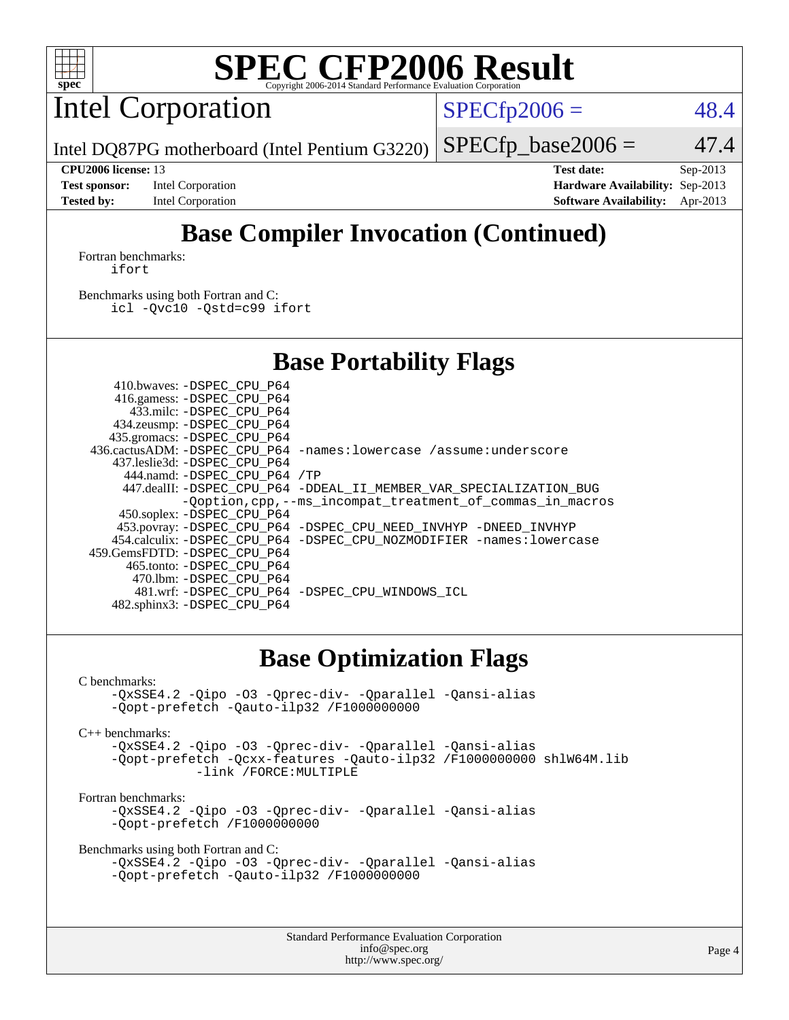

# **[SPEC CFP2006 Result](http://www.spec.org/auto/cpu2006/Docs/result-fields.html#SPECCFP2006Result)**

Intel Corporation

 $SPECTp2006 = 48.4$ 

Intel DQ87PG motherboard (Intel Pentium G3220)

 $SPECfp\_base2006 = 47.4$ 

**[Test sponsor:](http://www.spec.org/auto/cpu2006/Docs/result-fields.html#Testsponsor)** Intel Corporation **[Hardware Availability:](http://www.spec.org/auto/cpu2006/Docs/result-fields.html#HardwareAvailability)** Sep-2013 **[Tested by:](http://www.spec.org/auto/cpu2006/Docs/result-fields.html#Testedby)** Intel Corporation **[Software Availability:](http://www.spec.org/auto/cpu2006/Docs/result-fields.html#SoftwareAvailability)** Apr-2013

**[CPU2006 license:](http://www.spec.org/auto/cpu2006/Docs/result-fields.html#CPU2006license)** 13 **[Test date:](http://www.spec.org/auto/cpu2006/Docs/result-fields.html#Testdate)** Sep-2013

# **[Base Compiler Invocation \(Continued\)](http://www.spec.org/auto/cpu2006/Docs/result-fields.html#BaseCompilerInvocation)**

[Fortran benchmarks](http://www.spec.org/auto/cpu2006/Docs/result-fields.html#Fortranbenchmarks): [ifort](http://www.spec.org/cpu2006/results/res2014q3/cpu2006-20140701-30182.flags.html#user_FCbase_intel_ifort_8a5e5e06b19a251bdeaf8fdab5d62f20)

[Benchmarks using both Fortran and C](http://www.spec.org/auto/cpu2006/Docs/result-fields.html#BenchmarksusingbothFortranandC): [icl -Qvc10](http://www.spec.org/cpu2006/results/res2014q3/cpu2006-20140701-30182.flags.html#user_CC_FCbase_intel_icc_vc10_9607f3ecbcdf68042245f068e51b40c1) [-Qstd=c99](http://www.spec.org/cpu2006/results/res2014q3/cpu2006-20140701-30182.flags.html#user_CC_FCbase_intel_compiler_c99_mode_1a3d110e3041b3ad4466830521bdad2a) [ifort](http://www.spec.org/cpu2006/results/res2014q3/cpu2006-20140701-30182.flags.html#user_CC_FCbase_intel_ifort_8a5e5e06b19a251bdeaf8fdab5d62f20)

### **[Base Portability Flags](http://www.spec.org/auto/cpu2006/Docs/result-fields.html#BasePortabilityFlags)**

| 410.bwaves: -DSPEC CPU P64   |                                                                          |
|------------------------------|--------------------------------------------------------------------------|
| 416.gamess: -DSPEC_CPU_P64   |                                                                          |
| 433.milc: -DSPEC CPU P64     |                                                                          |
| 434.zeusmp: - DSPEC_CPU_P64  |                                                                          |
| 435.gromacs: -DSPEC_CPU_P64  |                                                                          |
|                              | 436.cactusADM: -DSPEC CPU P64 -names: lowercase /assume: underscore      |
| 437.leslie3d: -DSPEC CPU P64 |                                                                          |
| 444.namd: -DSPEC CPU P64 /TP |                                                                          |
|                              | 447.dealII: -DSPEC_CPU_P64 -DDEAL_II_MEMBER_VAR_SPECIALIZATION_BUG       |
|                              | -Ooption, cpp, --ms incompat treatment of commas in macros               |
| 450.soplex: -DSPEC_CPU_P64   |                                                                          |
|                              | 453.povray: -DSPEC_CPU_P64 -DSPEC_CPU_NEED_INVHYP -DNEED_INVHYP          |
|                              | 454.calculix: - DSPEC CPU P64 - DSPEC CPU NOZMODIFIER - names: lowercase |
| 459.GemsFDTD: -DSPEC CPU P64 |                                                                          |
| 465.tonto: -DSPEC CPU P64    |                                                                          |
| 470.1bm: -DSPEC CPU P64      |                                                                          |
|                              | 481.wrf: - DSPEC CPU P64 - DSPEC CPU WINDOWS ICL                         |
| 482.sphinx3: -DSPEC_CPU_P64  |                                                                          |

### **[Base Optimization Flags](http://www.spec.org/auto/cpu2006/Docs/result-fields.html#BaseOptimizationFlags)**

[C benchmarks](http://www.spec.org/auto/cpu2006/Docs/result-fields.html#Cbenchmarks):

[-QxSSE4.2](http://www.spec.org/cpu2006/results/res2014q3/cpu2006-20140701-30182.flags.html#user_CCbase_f-QxSSE42_372695bbe211719895df0310b324a1ca) [-Qipo](http://www.spec.org/cpu2006/results/res2014q3/cpu2006-20140701-30182.flags.html#user_CCbase_f-Qipo) [-O3](http://www.spec.org/cpu2006/results/res2014q3/cpu2006-20140701-30182.flags.html#user_CCbase_f-O3) [-Qprec-div-](http://www.spec.org/cpu2006/results/res2014q3/cpu2006-20140701-30182.flags.html#user_CCbase_f-Qprec-div-) [-Qparallel](http://www.spec.org/cpu2006/results/res2014q3/cpu2006-20140701-30182.flags.html#user_CCbase_f-Qparallel) [-Qansi-alias](http://www.spec.org/cpu2006/results/res2014q3/cpu2006-20140701-30182.flags.html#user_CCbase_f-Qansi-alias) [-Qopt-prefetch](http://www.spec.org/cpu2006/results/res2014q3/cpu2006-20140701-30182.flags.html#user_CCbase_f-Qprefetch_37c211608666b9dff9380561f602f0a8) [-Qauto-ilp32](http://www.spec.org/cpu2006/results/res2014q3/cpu2006-20140701-30182.flags.html#user_CCbase_f-Qauto-ilp32) [/F1000000000](http://www.spec.org/cpu2006/results/res2014q3/cpu2006-20140701-30182.flags.html#user_CCbase_set_stack_space_25d7749c1988d91b7f93afbc0ec53727)

[C++ benchmarks:](http://www.spec.org/auto/cpu2006/Docs/result-fields.html#CXXbenchmarks)

[-QxSSE4.2](http://www.spec.org/cpu2006/results/res2014q3/cpu2006-20140701-30182.flags.html#user_CXXbase_f-QxSSE42_372695bbe211719895df0310b324a1ca) [-Qipo](http://www.spec.org/cpu2006/results/res2014q3/cpu2006-20140701-30182.flags.html#user_CXXbase_f-Qipo) [-O3](http://www.spec.org/cpu2006/results/res2014q3/cpu2006-20140701-30182.flags.html#user_CXXbase_f-O3) [-Qprec-div-](http://www.spec.org/cpu2006/results/res2014q3/cpu2006-20140701-30182.flags.html#user_CXXbase_f-Qprec-div-) [-Qparallel](http://www.spec.org/cpu2006/results/res2014q3/cpu2006-20140701-30182.flags.html#user_CXXbase_f-Qparallel) [-Qansi-alias](http://www.spec.org/cpu2006/results/res2014q3/cpu2006-20140701-30182.flags.html#user_CXXbase_f-Qansi-alias) [-Qopt-prefetch](http://www.spec.org/cpu2006/results/res2014q3/cpu2006-20140701-30182.flags.html#user_CXXbase_f-Qprefetch_37c211608666b9dff9380561f602f0a8) [-Qcxx-features](http://www.spec.org/cpu2006/results/res2014q3/cpu2006-20140701-30182.flags.html#user_CXXbase_f-Qcxx_features_dbf36c8a6dba956e22f1645e4dcd4d98) [-Qauto-ilp32](http://www.spec.org/cpu2006/results/res2014q3/cpu2006-20140701-30182.flags.html#user_CXXbase_f-Qauto-ilp32) [/F1000000000](http://www.spec.org/cpu2006/results/res2014q3/cpu2006-20140701-30182.flags.html#user_CXXbase_set_stack_space_25d7749c1988d91b7f93afbc0ec53727) [shlW64M.lib](http://www.spec.org/cpu2006/results/res2014q3/cpu2006-20140701-30182.flags.html#user_CXXbase_SmartHeap64_c4f7f76711bdf8c0633a5c1edf6e5396)  [-link /FORCE:MULTIPLE](http://www.spec.org/cpu2006/results/res2014q3/cpu2006-20140701-30182.flags.html#user_CXXbase_link_force_multiple2_070fe330869edf77077b841074b8b0b6)

[Fortran benchmarks](http://www.spec.org/auto/cpu2006/Docs/result-fields.html#Fortranbenchmarks):

[-QxSSE4.2](http://www.spec.org/cpu2006/results/res2014q3/cpu2006-20140701-30182.flags.html#user_FCbase_f-QxSSE42_372695bbe211719895df0310b324a1ca) [-Qipo](http://www.spec.org/cpu2006/results/res2014q3/cpu2006-20140701-30182.flags.html#user_FCbase_f-Qipo) [-O3](http://www.spec.org/cpu2006/results/res2014q3/cpu2006-20140701-30182.flags.html#user_FCbase_f-O3) [-Qprec-div-](http://www.spec.org/cpu2006/results/res2014q3/cpu2006-20140701-30182.flags.html#user_FCbase_f-Qprec-div-) [-Qparallel](http://www.spec.org/cpu2006/results/res2014q3/cpu2006-20140701-30182.flags.html#user_FCbase_f-Qparallel) [-Qansi-alias](http://www.spec.org/cpu2006/results/res2014q3/cpu2006-20140701-30182.flags.html#user_FCbase_f-Qansi-alias) [-Qopt-prefetch](http://www.spec.org/cpu2006/results/res2014q3/cpu2006-20140701-30182.flags.html#user_FCbase_f-Qprefetch_37c211608666b9dff9380561f602f0a8) [/F1000000000](http://www.spec.org/cpu2006/results/res2014q3/cpu2006-20140701-30182.flags.html#user_FCbase_set_stack_space_25d7749c1988d91b7f93afbc0ec53727)

[Benchmarks using both Fortran and C](http://www.spec.org/auto/cpu2006/Docs/result-fields.html#BenchmarksusingbothFortranandC):

```
-QxSSE4.2 -Qipo -O3 -Qprec-div- -Qparallel -Qansi-alias
-Qopt-prefetch -Qauto-ilp32 /F1000000000
```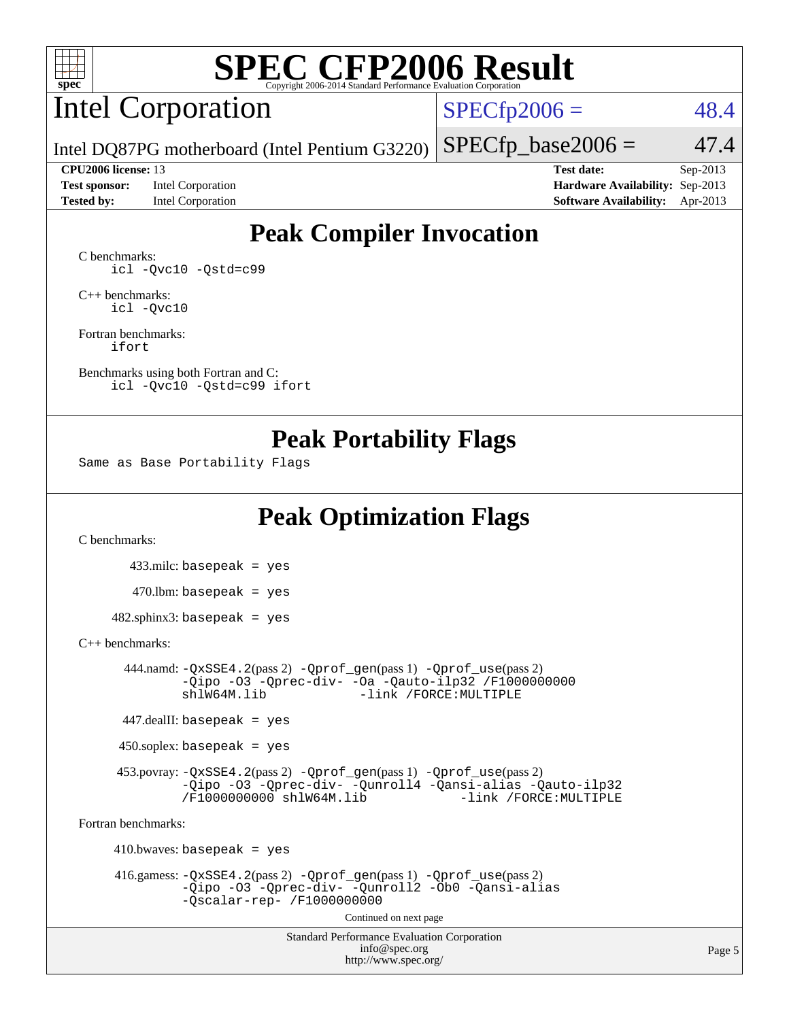

# **[SPEC CFP2006 Result](http://www.spec.org/auto/cpu2006/Docs/result-fields.html#SPECCFP2006Result)**

# Intel Corporation

 $SPECfp2006 = 48.4$  $SPECfp2006 = 48.4$ 

Intel DQ87PG motherboard (Intel Pentium G3220)

**[Test sponsor:](http://www.spec.org/auto/cpu2006/Docs/result-fields.html#Testsponsor)** Intel Corporation **[Hardware Availability:](http://www.spec.org/auto/cpu2006/Docs/result-fields.html#HardwareAvailability)** Sep-2013

**[CPU2006 license:](http://www.spec.org/auto/cpu2006/Docs/result-fields.html#CPU2006license)** 13 **[Test date:](http://www.spec.org/auto/cpu2006/Docs/result-fields.html#Testdate)** Sep-2013 **[Tested by:](http://www.spec.org/auto/cpu2006/Docs/result-fields.html#Testedby)** Intel Corporation **[Software Availability:](http://www.spec.org/auto/cpu2006/Docs/result-fields.html#SoftwareAvailability)** Apr-2013

 $SPECfp\_base2006 = 47.4$ 

## **[Peak Compiler Invocation](http://www.spec.org/auto/cpu2006/Docs/result-fields.html#PeakCompilerInvocation)**

[C benchmarks](http://www.spec.org/auto/cpu2006/Docs/result-fields.html#Cbenchmarks): [icl -Qvc10](http://www.spec.org/cpu2006/results/res2014q3/cpu2006-20140701-30182.flags.html#user_CCpeak_intel_icc_vc10_9607f3ecbcdf68042245f068e51b40c1) [-Qstd=c99](http://www.spec.org/cpu2006/results/res2014q3/cpu2006-20140701-30182.flags.html#user_CCpeak_intel_compiler_c99_mode_1a3d110e3041b3ad4466830521bdad2a)

[C++ benchmarks:](http://www.spec.org/auto/cpu2006/Docs/result-fields.html#CXXbenchmarks) [icl -Qvc10](http://www.spec.org/cpu2006/results/res2014q3/cpu2006-20140701-30182.flags.html#user_CXXpeak_intel_icc_vc10_9607f3ecbcdf68042245f068e51b40c1)

[Fortran benchmarks](http://www.spec.org/auto/cpu2006/Docs/result-fields.html#Fortranbenchmarks): [ifort](http://www.spec.org/cpu2006/results/res2014q3/cpu2006-20140701-30182.flags.html#user_FCpeak_intel_ifort_8a5e5e06b19a251bdeaf8fdab5d62f20)

[Benchmarks using both Fortran and C](http://www.spec.org/auto/cpu2006/Docs/result-fields.html#BenchmarksusingbothFortranandC): [icl -Qvc10](http://www.spec.org/cpu2006/results/res2014q3/cpu2006-20140701-30182.flags.html#user_CC_FCpeak_intel_icc_vc10_9607f3ecbcdf68042245f068e51b40c1) [-Qstd=c99](http://www.spec.org/cpu2006/results/res2014q3/cpu2006-20140701-30182.flags.html#user_CC_FCpeak_intel_compiler_c99_mode_1a3d110e3041b3ad4466830521bdad2a) [ifort](http://www.spec.org/cpu2006/results/res2014q3/cpu2006-20140701-30182.flags.html#user_CC_FCpeak_intel_ifort_8a5e5e06b19a251bdeaf8fdab5d62f20)

### **[Peak Portability Flags](http://www.spec.org/auto/cpu2006/Docs/result-fields.html#PeakPortabilityFlags)**

Same as Base Portability Flags

## **[Peak Optimization Flags](http://www.spec.org/auto/cpu2006/Docs/result-fields.html#PeakOptimizationFlags)**

[C benchmarks](http://www.spec.org/auto/cpu2006/Docs/result-fields.html#Cbenchmarks):

 433.milc: basepeak = yes  $470.1$ bm: basepeak = yes  $482$ .sphinx3: basepeak = yes

#### [C++ benchmarks:](http://www.spec.org/auto/cpu2006/Docs/result-fields.html#CXXbenchmarks)

 444.namd: [-QxSSE4.2](http://www.spec.org/cpu2006/results/res2014q3/cpu2006-20140701-30182.flags.html#user_peakPASS2_CXXFLAGSPASS2_LDFLAGS444_namd_f-QxSSE42_372695bbe211719895df0310b324a1ca)(pass 2) [-Qprof\\_gen](http://www.spec.org/cpu2006/results/res2014q3/cpu2006-20140701-30182.flags.html#user_peakPASS1_CXXFLAGSPASS1_LDFLAGS444_namd_Qprof_gen)(pass 1) [-Qprof\\_use](http://www.spec.org/cpu2006/results/res2014q3/cpu2006-20140701-30182.flags.html#user_peakPASS2_CXXFLAGSPASS2_LDFLAGS444_namd_Qprof_use)(pass 2) [-Qipo](http://www.spec.org/cpu2006/results/res2014q3/cpu2006-20140701-30182.flags.html#user_peakOPTIMIZE444_namd_f-Qipo) [-O3](http://www.spec.org/cpu2006/results/res2014q3/cpu2006-20140701-30182.flags.html#user_peakOPTIMIZE444_namd_f-O3) [-Qprec-div-](http://www.spec.org/cpu2006/results/res2014q3/cpu2006-20140701-30182.flags.html#user_peakOPTIMIZE444_namd_f-Qprec-div-) [-Oa](http://www.spec.org/cpu2006/results/res2014q3/cpu2006-20140701-30182.flags.html#user_peakOPTIMIZE444_namd_f-Oa) [-Qauto-ilp32](http://www.spec.org/cpu2006/results/res2014q3/cpu2006-20140701-30182.flags.html#user_peakCXXOPTIMIZE444_namd_f-Qauto-ilp32) [/F1000000000](http://www.spec.org/cpu2006/results/res2014q3/cpu2006-20140701-30182.flags.html#user_peakEXTRA_LDFLAGS444_namd_set_stack_space_25d7749c1988d91b7f93afbc0ec53727) -link /FORCE: MULTIPLE

447.dealII: basepeak = yes

 $450$ .soplex: basepeak = yes

 453.povray: [-QxSSE4.2](http://www.spec.org/cpu2006/results/res2014q3/cpu2006-20140701-30182.flags.html#user_peakPASS2_CXXFLAGSPASS2_LDFLAGS453_povray_f-QxSSE42_372695bbe211719895df0310b324a1ca)(pass 2) [-Qprof\\_gen](http://www.spec.org/cpu2006/results/res2014q3/cpu2006-20140701-30182.flags.html#user_peakPASS1_CXXFLAGSPASS1_LDFLAGS453_povray_Qprof_gen)(pass 1) [-Qprof\\_use](http://www.spec.org/cpu2006/results/res2014q3/cpu2006-20140701-30182.flags.html#user_peakPASS2_CXXFLAGSPASS2_LDFLAGS453_povray_Qprof_use)(pass 2) [-Qipo](http://www.spec.org/cpu2006/results/res2014q3/cpu2006-20140701-30182.flags.html#user_peakOPTIMIZE453_povray_f-Qipo) [-O3](http://www.spec.org/cpu2006/results/res2014q3/cpu2006-20140701-30182.flags.html#user_peakOPTIMIZE453_povray_f-O3) [-Qprec-div-](http://www.spec.org/cpu2006/results/res2014q3/cpu2006-20140701-30182.flags.html#user_peakOPTIMIZE453_povray_f-Qprec-div-) [-Qunroll4](http://www.spec.org/cpu2006/results/res2014q3/cpu2006-20140701-30182.flags.html#user_peakOPTIMIZE453_povray_f-Qunroll_013b1c0ea3aa84ef2c65e488bcc3d968) [-Qansi-alias](http://www.spec.org/cpu2006/results/res2014q3/cpu2006-20140701-30182.flags.html#user_peakOPTIMIZE453_povray_f-Qansi-alias) [-Qauto-ilp32](http://www.spec.org/cpu2006/results/res2014q3/cpu2006-20140701-30182.flags.html#user_peakCXXOPTIMIZE453_povray_f-Qauto-ilp32) [/F1000000000](http://www.spec.org/cpu2006/results/res2014q3/cpu2006-20140701-30182.flags.html#user_peakEXTRA_LDFLAGS453_povray_set_stack_space_25d7749c1988d91b7f93afbc0ec53727) [shlW64M.lib](http://www.spec.org/cpu2006/results/res2014q3/cpu2006-20140701-30182.flags.html#user_peakEXTRA_LIBS453_povray_SmartHeap64_c4f7f76711bdf8c0633a5c1edf6e5396)

[Fortran benchmarks](http://www.spec.org/auto/cpu2006/Docs/result-fields.html#Fortranbenchmarks):

 $410.bwaves: basepeak = yes$  416.gamess: [-QxSSE4.2](http://www.spec.org/cpu2006/results/res2014q3/cpu2006-20140701-30182.flags.html#user_peakPASS2_FFLAGSPASS2_LDFLAGS416_gamess_f-QxSSE42_372695bbe211719895df0310b324a1ca)(pass 2) [-Qprof\\_gen](http://www.spec.org/cpu2006/results/res2014q3/cpu2006-20140701-30182.flags.html#user_peakPASS1_FFLAGSPASS1_LDFLAGS416_gamess_Qprof_gen)(pass 1) [-Qprof\\_use](http://www.spec.org/cpu2006/results/res2014q3/cpu2006-20140701-30182.flags.html#user_peakPASS2_FFLAGSPASS2_LDFLAGS416_gamess_Qprof_use)(pass 2) [-Qipo](http://www.spec.org/cpu2006/results/res2014q3/cpu2006-20140701-30182.flags.html#user_peakOPTIMIZE416_gamess_f-Qipo) [-O3](http://www.spec.org/cpu2006/results/res2014q3/cpu2006-20140701-30182.flags.html#user_peakOPTIMIZE416_gamess_f-O3) [-Qprec-div-](http://www.spec.org/cpu2006/results/res2014q3/cpu2006-20140701-30182.flags.html#user_peakOPTIMIZE416_gamess_f-Qprec-div-) [-Qunroll2](http://www.spec.org/cpu2006/results/res2014q3/cpu2006-20140701-30182.flags.html#user_peakOPTIMIZE416_gamess_f-Qunroll_1d9456aa650e77fc2a0cf43cef3fa08c) [-Ob0](http://www.spec.org/cpu2006/results/res2014q3/cpu2006-20140701-30182.flags.html#user_peakOPTIMIZE416_gamess_f-Ob_n_fbe6f6428adb7d4b74b1e99bb2444c2d) [-Qansi-alias](http://www.spec.org/cpu2006/results/res2014q3/cpu2006-20140701-30182.flags.html#user_peakOPTIMIZE416_gamess_f-Qansi-alias) [-Qscalar-rep-](http://www.spec.org/cpu2006/results/res2014q3/cpu2006-20140701-30182.flags.html#user_peakOPTIMIZE416_gamess_f-Qscalar-rep_02cb9e11a5340d80ab3062d84e5dfb2e) [/F1000000000](http://www.spec.org/cpu2006/results/res2014q3/cpu2006-20140701-30182.flags.html#user_peakEXTRA_LDFLAGS416_gamess_set_stack_space_25d7749c1988d91b7f93afbc0ec53727) Continued on next page

> Standard Performance Evaluation Corporation [info@spec.org](mailto:info@spec.org) <http://www.spec.org/>